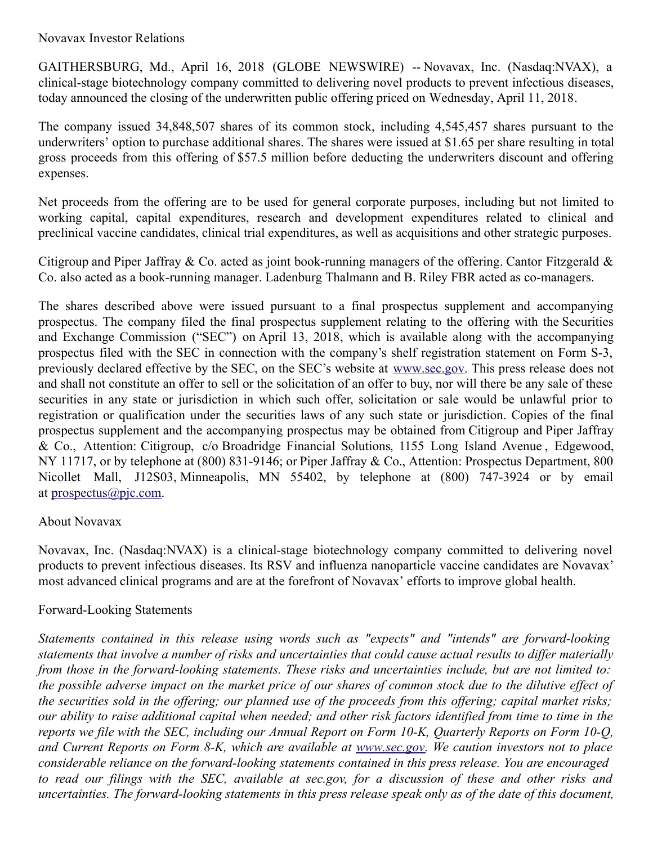Novavax Investor Relations

GAITHERSBURG, Md., April 16, 2018 (GLOBE NEWSWIRE) -- Novavax, Inc. (Nasdaq:NVAX), a clinical-stage biotechnology company committed to delivering novel products to prevent infectious diseases, today announced the closing of the underwritten public offering priced on Wednesday, April 11, 2018.

The company issued 34,848,507 shares of its common stock, including 4,545,457 shares pursuant to the underwriters' option to purchase additional shares. The shares were issued at \$1.65 per share resulting in total gross proceeds from this offering of \$57.5 million before deducting the underwriters discount and offering expenses.

Net proceeds from the offering are to be used for general corporate purposes, including but not limited to working capital, capital expenditures, research and development expenditures related to clinical and preclinical vaccine candidates, clinical trial expenditures, as well as acquisitions and other strategic purposes.

Citigroup and Piper Jaffray & Co. acted as joint book-running managers of the offering. Cantor Fitzgerald & Co. also acted as a book-running manager. Ladenburg Thalmann and B. Riley FBR acted as co-managers.

The shares described above were issued pursuant to a final prospectus supplement and accompanying prospectus. The company filed the final prospectus supplement relating to the offering with the Securities and Exchange Commission ("SEC") on April 13, 2018, which is available along with the accompanying prospectus filed with the SEC in connection with the company's shelf registration statement on Form S-3, previously declared effective by the SEC, on the SEC's website at [www.sec.gov](http://www.sec.gov/). This press release does not and shall not constitute an offer to sell or the solicitation of an offer to buy, nor will there be any sale of these securities in any state or jurisdiction in which such offer, solicitation or sale would be unlawful prior to registration or qualification under the securities laws of any such state or jurisdiction. Copies of the final prospectus supplement and the accompanying prospectus may be obtained from Citigroup and Piper Jaffray & Co., Attention: Citigroup, c/o Broadridge Financial Solutions, 1155 Long Island Avenue , Edgewood, NY 11717, or by telephone at (800) 831-9146; or Piper Jaffray & Co., Attention: Prospectus Department, 800 Nicollet Mall, J12S03, Minneapolis, MN 55402, by telephone at (800) 747-3924 or by email at [prospectus@pjc.com](mailto:prospectus@pjc.com).

## About Novavax

Novavax, Inc. (Nasdaq:NVAX) is a clinical-stage biotechnology company committed to delivering novel products to prevent infectious diseases. Its RSV and influenza nanoparticle vaccine candidates are Novavax' most advanced clinical programs and are at the forefront of Novavax' efforts to improve global health.

## Forward-Looking Statements

*Statements contained in this release using words such as "expects" and "intends" are forward-looking* statements that involve a number of risks and uncertainties that could cause actual results to differ materially *from those in the forward-looking statements. These risks and uncertainties include, but are not limited to:* the possible adverse impact on the market price of our shares of common stock due to the dilutive effect of the securities sold in the offering; our planned use of the proceeds from this offering; capital market risks; our ability to raise additional capital when needed; and other risk factors identified from time to time in the reports we file with the SEC, including our Annual Report on Form 10-K, Quarterly Reports on Form 10-Q, and Current Reports on Form 8-K, which are available at [www.sec.gov](http://www.sec.gov/). We caution investors not to place *considerable reliance on the forward-looking statements contained in this press release. You are encouraged* to read our filings with the SEC, available at sec.gov, for a discussion of these and other risks and uncertainties. The forward-looking statements in this press release speak only as of the date of this document,